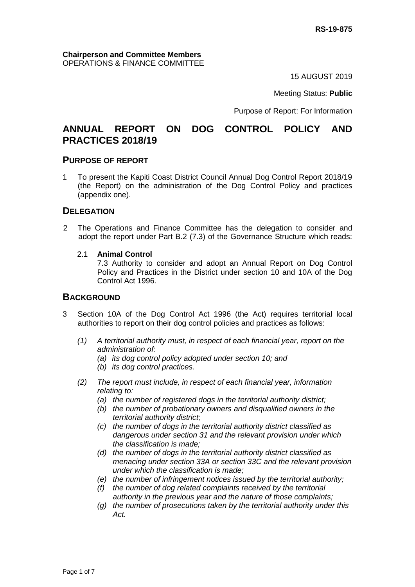15 AUGUST 2019

Meeting Status: **Public**

Purpose of Report: For Information

## **ANNUAL REPORT ON DOG CONTROL POLICY AND PRACTICES 2018/19**

#### **PURPOSE OF REPORT**

1 To present the Kapiti Coast District Council Annual Dog Control Report 2018/19 (the Report) on the administration of the Dog Control Policy and practices (appendix one).

#### **DELEGATION**

- 2 The Operations and Finance Committee has the delegation to consider and adopt the report under Part B.2 (7.3) of the Governance Structure which reads:
	- 2.1 **Animal Control**

7.3 Authority to consider and adopt an Annual Report on Dog Control Policy and Practices in the District under section 10 and 10A of the Dog Control Act 1996.

#### **BACKGROUND**

- 3 Section 10A of the Dog Control Act 1996 (the Act) requires territorial local authorities to report on their dog control policies and practices as follows:
	- *(1) A territorial authority must, in respect of each financial year, report on the administration of:* 
		- *(a) its dog control policy adopted under section 10; and*
		- *(b) its dog control practices.*
	- *(2) The report must include, in respect of each financial year, information relating to:* 
		- *(a) the number of registered dogs in the territorial authority district;*
		- *(b) the number of probationary owners and disqualified owners in the territorial authority district;*
		- *(c) the number of dogs in the territorial authority district classified as dangerous under section 31 and the relevant provision under which the classification is made;*
		- *(d) the number of dogs in the territorial authority district classified as menacing under section 33A or section 33C and the relevant provision under which the classification is made;*
		- *(e) the number of infringement notices issued by the territorial authority;*
		- *(f) the number of dog related complaints received by the territorial authority in the previous year and the nature of those complaints;*
		- *(g) the number of prosecutions taken by the territorial authority under this Act.*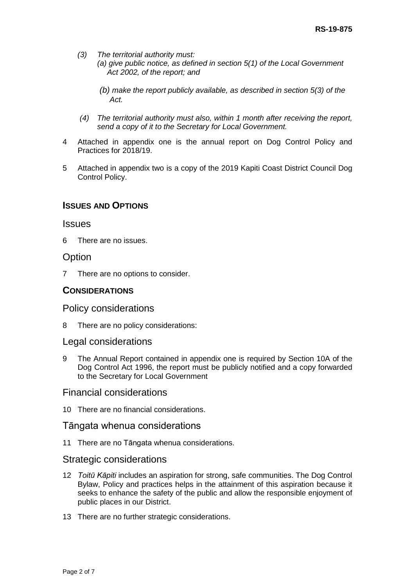- *(3) The territorial authority must:*
	- *(a) give public notice, as defined in section 5(1) of the Local Government Act 2002, of the report; and*
	- *(b) make the report publicly available, as described in section 5(3) of the Act.*
- *(4) The territorial authority must also, within 1 month after receiving the report, send a copy of it to the Secretary for Local Government.*
- 4 Attached in appendix one is the annual report on Dog Control Policy and Practices for 2018/19.
- 5 Attached in appendix two is a copy of the 2019 Kapiti Coast District Council Dog Control Policy.

## **ISSUES AND OPTIONS**

#### **Issues**

6 There are no issues.

## **Option**

7 There are no options to consider.

### **CONSIDERATIONS**

Policy considerations

8 There are no policy considerations:

### Legal considerations

9 The Annual Report contained in appendix one is required by Section 10A of the Dog Control Act 1996, the report must be publicly notified and a copy forwarded to the Secretary for Local Government

## Financial considerations

10 There are no financial considerations.

#### Tāngata whenua considerations

11 There are no Tāngata whenua considerations.

#### Strategic considerations

- 12 *Toitū Kāpiti* includes an aspiration for strong, safe communities. The Dog Control Bylaw, Policy and practices helps in the attainment of this aspiration because it seeks to enhance the safety of the public and allow the responsible enjoyment of public places in our District.
- 13 There are no further strategic considerations.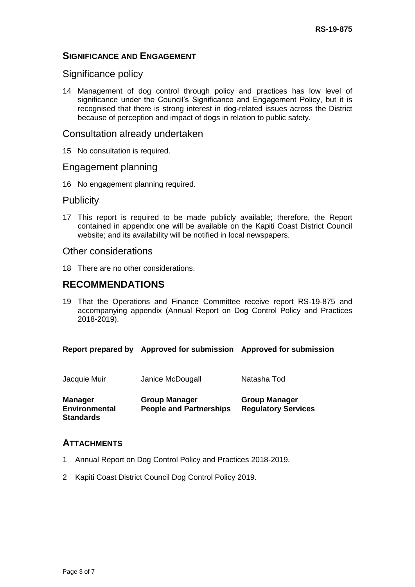## **SIGNIFICANCE AND ENGAGEMENT**

## Significance policy

14 Management of dog control through policy and practices has low level of significance under the Council's Significance and Engagement Policy, but it is recognised that there is strong interest in dog-related issues across the District because of perception and impact of dogs in relation to public safety.

#### Consultation already undertaken

15 No consultation is required.

### Engagement planning

16 No engagement planning required.

### **Publicity**

17 This report is required to be made publicly available; therefore, the Report contained in appendix one will be available on the Kapiti Coast District Council website; and its availability will be notified in local newspapers.

#### Other considerations

18 There are no other considerations.

## **RECOMMENDATIONS**

19 That the Operations and Finance Committee receive report RS-19-875 and accompanying appendix (Annual Report on Dog Control Policy and Practices 2018-2019).

#### **Report prepared by Approved for submission Approved for submission**

| Jacquie Muir                                               | Janice McDougall                                       | Natasha Tod                                        |
|------------------------------------------------------------|--------------------------------------------------------|----------------------------------------------------|
| <b>Manager</b><br><b>Environmental</b><br><b>Standards</b> | <b>Group Manager</b><br><b>People and Partnerships</b> | <b>Group Manager</b><br><b>Regulatory Services</b> |

## **ATTACHMENTS**

- 1 Annual Report on Dog Control Policy and Practices 2018-2019.
- 2 Kapiti Coast District Council Dog Control Policy 2019.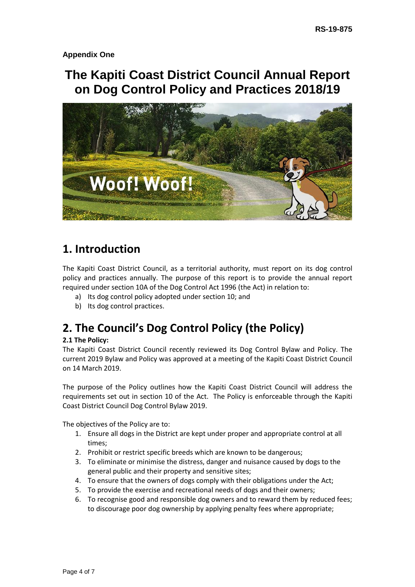**Appendix One**

# **The Kapiti Coast District Council Annual Report on Dog Control Policy and Practices 2018/19**



# **1. Introduction**

The Kapiti Coast District Council, as a territorial authority, must report on its dog control policy and practices annually. The purpose of this report is to provide the annual report required under section 10A of the Dog Control Act 1996 (the Act) in relation to:

- a) Its dog control policy adopted under section 10; and
- b) Its dog control practices.

# **2. The Council's Dog Control Policy (the Policy)**

#### **2.1 The Policy:**

The Kapiti Coast District Council recently reviewed its Dog Control Bylaw and Policy. The current 2019 Bylaw and Policy was approved at a meeting of the Kapiti Coast District Council on 14 March 2019.

The purpose of the Policy outlines how the Kapiti Coast District Council will address the requirements set out in section 10 of the Act. The Policy is enforceable through the Kapiti Coast District Council Dog Control Bylaw 2019.

The objectives of the Policy are to:

- 1. Ensure all dogs in the District are kept under proper and appropriate control at all times;
- 2. Prohibit or restrict specific breeds which are known to be dangerous;
- 3. To eliminate or minimise the distress, danger and nuisance caused by dogs to the general public and their property and sensitive sites;
- 4. To ensure that the owners of dogs comply with their obligations under the Act;
- 5. To provide the exercise and recreational needs of dogs and their owners;
- 6. To recognise good and responsible dog owners and to reward them by reduced fees; to discourage poor dog ownership by applying penalty fees where appropriate;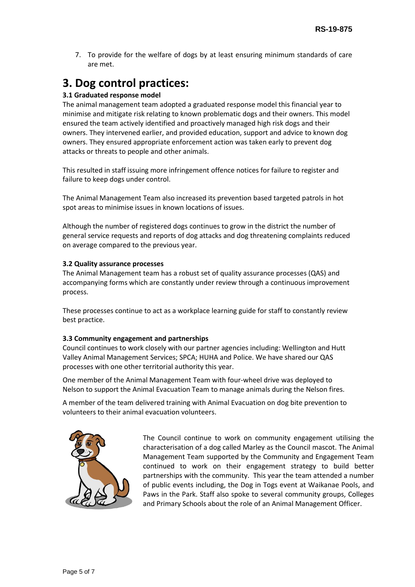7. To provide for the welfare of dogs by at least ensuring minimum standards of care are met.

# **3. Dog control practices:**

### **3.1 Graduated response model**

The animal management team adopted a graduated response model this financial year to minimise and mitigate risk relating to known problematic dogs and their owners. This model ensured the team actively identified and proactively managed high risk dogs and their owners. They intervened earlier, and provided education, support and advice to known dog owners. They ensured appropriate enforcement action was taken early to prevent dog attacks or threats to people and other animals.

This resulted in staff issuing more infringement offence notices for failure to register and failure to keep dogs under control.

The Animal Management Team also increased its prevention based targeted patrols in hot spot areas to minimise issues in known locations of issues.

Although the number of registered dogs continues to grow in the district the number of general service requests and reports of dog attacks and dog threatening complaints reduced on average compared to the previous year.

#### **3.2 Quality assurance processes**

The Animal Management team has a robust set of quality assurance processes (QAS) and accompanying forms which are constantly under review through a continuous improvement process.

These processes continue to act as a workplace learning guide for staff to constantly review best practice.

#### **3.3 Community engagement and partnerships**

Council continues to work closely with our partner agencies including: Wellington and Hutt Valley Animal Management Services; SPCA; HUHA and Police. We have shared our QAS processes with one other territorial authority this year.

One member of the Animal Management Team with four-wheel drive was deployed to Nelson to support the Animal Evacuation Team to manage animals during the Nelson fires.

A member of the team delivered training with Animal Evacuation on dog bite prevention to volunteers to their animal evacuation volunteers.



The Council continue to work on community engagement utilising the characterisation of a dog called Marley as the Council mascot. The Animal Management Team supported by the Community and Engagement Team continued to work on their engagement strategy to build better partnerships with the community. This year the team attended a number of public events including, the Dog in Togs event at Waikanae Pools, and Paws in the Park. Staff also spoke to several community groups, Colleges and Primary Schools about the role of an Animal Management Officer.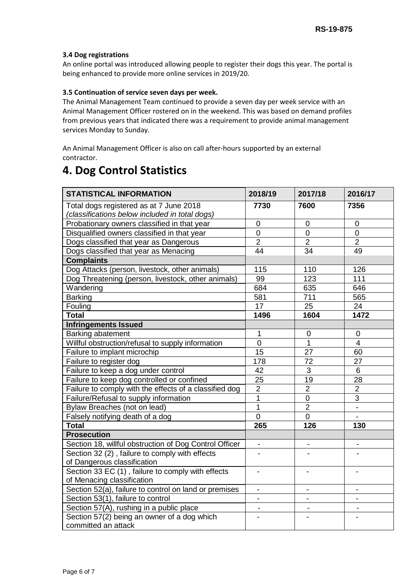#### **3.4 Dog registrations**

An online portal was introduced allowing people to register their dogs this year. The portal is being enhanced to provide more online services in 2019/20.

#### **3.5 Continuation of service seven days per week.**

The Animal Management Team continued to provide a seven day per week service with an Animal Management Officer rostered on in the weekend. This was based on demand profiles from previous years that indicated there was a requirement to provide animal management services Monday to Sunday.

An Animal Management Officer is also on call after-hours supported by an external contractor.

# **4. Dog Control Statistics**

| <b>STATISTICAL INFORMATION</b>                         | 2018/19                  | 2017/18                  | 2016/17        |
|--------------------------------------------------------|--------------------------|--------------------------|----------------|
| Total dogs registered as at 7 June 2018                | 7730                     | 7600                     | 7356           |
| (classifications below included in total dogs)         |                          |                          |                |
| Probationary owners classified in that year            | 0                        | 0                        | $\overline{0}$ |
| Disqualified owners classified in that year            | 0                        | $\overline{0}$           | $\overline{0}$ |
| Dogs classified that year as Dangerous                 | $\overline{2}$           | $\overline{2}$           | $\overline{2}$ |
| Dogs classified that year as Menacing                  | 44                       | 34                       | 49             |
| <b>Complaints</b>                                      |                          |                          |                |
| Dog Attacks (person, livestock, other animals)         | 115                      | 110                      | 126            |
| Dog Threatening (person, livestock, other animals)     | 99                       | 123                      | 111            |
| Wandering                                              | 684                      | 635                      | 646            |
| <b>Barking</b>                                         | 581                      | 711                      | 565            |
| Fouling                                                | 17                       | 25                       | 24             |
| <b>Total</b>                                           | 1496                     | 1604                     | 1472           |
| <b>Infringements Issued</b>                            |                          |                          |                |
| Barking abatement                                      | 1                        | 0                        | 0              |
| Willful obstruction/refusal to supply information      | $\overline{0}$           | 1                        | $\overline{4}$ |
| Failure to implant microchip                           | 15                       | 27                       | 60             |
| Failure to register dog                                | 178                      | 72                       | 27             |
| Failure to keep a dog under control                    | 42                       | 3                        | 6              |
| Failure to keep dog controlled or confined             | 25                       | 19                       | 28             |
| Failure to comply with the effects of a classified dog | $\overline{2}$           | $\overline{2}$           | $\overline{2}$ |
| Failure/Refusal to supply information                  | 1                        | $\overline{0}$           | 3              |
| Bylaw Breaches (not on lead)                           | $\overline{1}$           | $\overline{2}$           |                |
| Falsely notifying death of a dog                       | $\overline{0}$           | $\overline{0}$           |                |
| <b>Total</b>                                           | 265                      | 126                      | 130            |
| <b>Prosecution</b>                                     |                          |                          |                |
| Section 18, willful obstruction of Dog Control Officer | $\overline{\phantom{a}}$ |                          |                |
| Section 32 (2), failure to comply with effects         |                          |                          |                |
| of Dangerous classification                            |                          |                          |                |
| Section 33 EC (1), failure to comply with effects      | $\overline{\phantom{a}}$ | $\overline{\phantom{0}}$ |                |
| of Menacing classification                             |                          |                          |                |
| Section 52(a), failure to control on land or premises  | $\overline{\phantom{a}}$ |                          |                |
| Section 53(1), failure to control                      | $\blacksquare$           |                          |                |
| Section 57(A), rushing in a public place               | $\overline{\phantom{a}}$ | $\blacksquare$           |                |
| Section 57(2) being an owner of a dog which            | $\overline{\phantom{a}}$ |                          |                |
| committed an attack                                    |                          |                          |                |